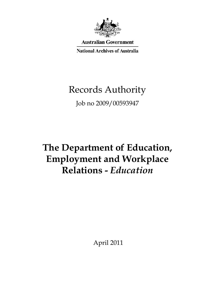

**Australian Government** 

**National Archives of Australia** 

# Records Authority

Job no 2009/00593947

# **The Department of Education, Employment and Workplace Relations -** *Education*

April 2011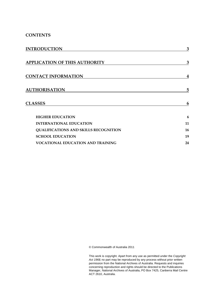### **CONTENTS**

| <b>INTRODUCTION</b>                          | 3  |
|----------------------------------------------|----|
|                                              |    |
| <b>APPLICATION OF THIS AUTHORITY</b>         | 3  |
| <b>CONTACT INFORMATION</b>                   | 4  |
| <b>AUTHORISATION</b>                         | 5  |
| <b>CLASSES</b>                               | 6  |
| <b>HIGHER EDUCATION</b>                      | 6  |
| <b>INTERNATIONAL EDUCATION</b>               | 11 |
| <b>QUALIFICATIONS AND SKILLS RECOGNITION</b> | 16 |
| <b>SCHOOL EDUCATION</b>                      | 19 |
| <b>VOCATIONAL EDUCATION AND TRAINING</b>     | 24 |

© Commonwealth of Australia 2011

This work is copyright. Apart from any use as permitted under the *Copyright Act 1968,* no part may be reproduced by any process without prior written permission from the National Archives of Australia. Requests and inquiries concerning reproduction and rights should be directed to the Publications Manager, National Archives of Australia, PO Box 7425, Canberra Mail Centre ACT 2610, Australia.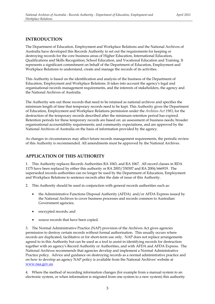### **INTRODUCTION**

The Department of Education, Employment and Workplace Relations and the National Archives of Australia have developed this Records Authority to set out the requirements for keeping or destroying records for the core business areas of Higher Education, International Education, Qualifications and Skills Recognition, School Education, and Vocational Education and Training. It represents a significant commitment on behalf of the Department of Education, Employment and Workplace Relations to understand, create and manage the records of its activities.

the National Archives of Australia. This Authority is based on the identification and analysis of the business of the Department of Education, Employment and Workplace Relations. It takes into account the agency's legal and organisational records management requirements, and the interests of stakeholders, the agency and

The Authority sets out those records that need to be retained as national archives and specifies the minimum length of time that temporary records need to be kept. This Authority gives the Department of Education, Employment and Workplace Relations permission under the *Archives Act 1983*, for the destruction of the temporary records described after the minimum retention period has expired. Retention periods for these temporary records are based on: an assessment of business needs; broader organisational accountability requirements; and community expectations, and are approved by the National Archives of Australia on the basis of information provided by the agency.

As changes in circumstances may affect future records management requirements, the periodic review of this Authority is recommended. All amendments must be approved by the National Archives.

### **APPLICATION OF THIS AUTHORITY**

1. This Authority replaces Records Authorities RA 1063, and RA 1067. All record classes in RDA 1175 have been replaced by either this authority or RA 2003/330307 and RA 2004/666919. The superseded records authorities can no longer be used by the Department of Education, Employment and Workplace Relations to sentence records after the date of issue of this Authority.

2. This Authority should be used in conjunction with general records authorities such as:

- the Administrative Functions Disposal Authority (AFDA) and/or AFDA Express issued by the National Archives to cover business processes and records common to Australian Government agencies;
- encrypted records; and
- source records that have been copied.

 permission to destroy certain records without formal authorisation. This usually occurs where 3. The Normal Administrative Practice (NAP) provision of the Archives Act gives agencies records are duplicated, facilitative or for short-term use only. NAP does not replace arrangements agreed to in this Authority but can be used as a tool to assist in identifying records for destruction together with an agency's Record Authority or Authorities, and with AFDA and AFDA Express. The National Archives recommends that agencies develop and implement a Normal Administrative Practice policy. Advice and guidance on destroying records as a normal administrative practice and on how to develop an agency NAP policy is available from the National Archives' website at www.naa.gov.au

 4. Where the method of recording information changes (for example from a manual system to an electronic system, or when information is migrated from one system to a new system) this authority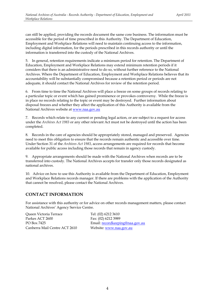Employment and Workplace Relations will need to maintain continuing access to the information, can still be applied, providing the records document the same core business. The information must be accessible for the period of time prescribed in this Authority. The Department of Education, including digital information, for the periods prescribed in this records authority or until the information is transferred into the custody of the National Archives.

5. In general, retention requirements indicate a minimum period for retention. The Department of Education, Employment and Workplace Relations may extend minimum retention periods if it considers that there is an administrative need to do so, without further reference to the National Archives. Where the Department of Education, Employment and Workplace Relations believes that its accountability will be substantially compromised because a retention period or periods are not adequate, it should contact the National Archives for review of the retention period.

 6. From time to time the National Archives will place a freeze on some groups of records relating to a particular topic or event which has gained prominence or provokes controversy. While the freeze is in place no records relating to the topic or event may be destroyed. Further information about disposal freezes and whether they affect the application of this Authority is available from the National Archives website at www.naa.gov.au

 7. Records which relate to any current or pending legal action, or are subject to a request for access under the *Archives Act 1983* or any other relevant Act must not be destroyed until the action has been completed.

 8. Records in the care of agencies should be appropriately stored, managed and preserved. Agencies need to meet this obligation to ensure that the records remain authentic and accessible over time. Under Section 31 of the *Archives Act 1983*, access arrangements are required for records that become available for public access including those records that remain in agency custody.

 9. Appropriate arrangements should be made with the National Archives when records are to be transferred into custody. The National Archives accepts for transfer only those records designated as national archives.

10. Advice on how to use this Authority is available from the Department of Education, Employment and Workplace Relations records manager. If there are problems with the application of the Authority that cannot be resolved, please contact the National Archives.

### **CONTACT INFORMATION**

For assistance with this authority or for advice on other records management matters, please contact National Archives' Agency Service Centre.

| Oueen Victoria Terrace        | Tel: (02) 6212 3610             |
|-------------------------------|---------------------------------|
| Parkes ACT 2600               | Fax: (02) 6212 3989             |
| PO Box 7425                   | Email: recordkeeping@naa.gov.au |
| Canberra Mail Centre ACT 2610 | Website: www.naa.gov.au         |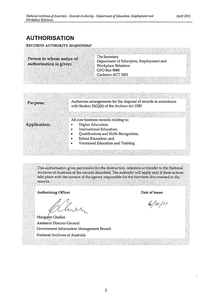## **AUTHORISATION**

#### RECORDS AUTHORITY 2010/00593947

The Secretary Person to whom notice of Department of Education, Employment and authorisation is given: Workplace Relations **GPO Box 9880** Canberra ACT 2601

| Purpose:     | Authorises arrangements for the disposal of records in accordance<br>with Section 24(2)(b) of the Archives Act 1983 |
|--------------|---------------------------------------------------------------------------------------------------------------------|
| Application: | All core business records relating to:<br>Higher Education;                                                         |
|              | International Education;<br>Qualifications and Skills Recognition;<br>School Education; and                         |
|              | Vocational Education and Training                                                                                   |

This authorisation gives permission for the destruction, retention or transfer to the National Archives of Australia of the records described. The authority will apply only if these actions take place with the consent of the agency responsible for the functions documented in the records.

**Authorising Officer** 

Margaret Chalker Assistant Director-General Government Information Management Branch National Archives of Australia

Date of issue:

 $6/4/11$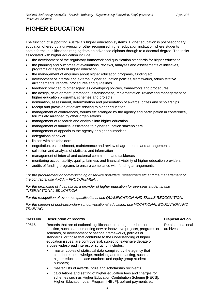<span id="page-5-0"></span>The function of supporting Australia's higher education systems. Higher education is post-secondary education offered by a university or other recognised higher education institution where students obtain formal qualifications ranging from an advanced diploma through to a doctoral degree. The tasks associated with higher education include:

- the development of the regulatory framework and qualification standards for higher education
- the planning and outcomes of evaluations, reviews, analyses and assessments of initiatives, programs or aspects of higher education
- the management of enquiries about higher education programs, funding etc
- development of internal and external higher education policies, frameworks, administrative arrangements, reports, procedures and guidelines
- feedback provided to other agencies developing policies, frameworks and procedures
- the design, development, promotion, establishment, implementation, review and management of higher education programs, schemes and projects
- nomination, assessment, determination and presentation of awards, prizes and scholarships
- receipt and provision of advice relating to higher education
- management of conferences, forums etc arranged by the agency and participation in conference, forums etc arranged by other organisations
- management of research and analysis into higher education
- management of financial assistance to higher education stakeholders
- management of appeals to the agency or higher authorities
- delegations of power
- liaison with stakeholders
- negotiation, establishment, maintenance and review of agreements and arrangements
- collection and analysis of statistics and information
- management of internal and external committees and taskforces
- monitoring accountability, quality, fairness and financial viability of higher education providers
- audits of funding programs to ensure compliance with funding arrangements.

*For the procurement or commissioning of service providers, researchers etc and the management of the contracts, use AFDA – PROCUREMENT.* 

*For the promotion of Australia as a provider of higher education for overseas students, use INTERNATIONAL EDUCATION.* 

*For the recognition of overseas qualifications, use QUALIFICATION AND SKILLS RECOGNITION.* 

*For the support of post-secondary school vocational education, use VOCATIONAL EDUCATION AND TRAINING.* 

#### **Class No Description of records Class Action Action Action Action Action Action Action Action Action Action Action**

- 20616 Records that are of national significance to the higher education Retain as national function, such as documenting new or innovative projects, programs or archives schemes, or development of national frameworks, policies or standards, or those that contribute to the understanding of higher education issues, are controversial, subject of extensive debate or arouse widespread interest or scrutiny. Includes:
	- master copies of statistical data compiled by the agency that contribute to knowledge, modelling and forecasting, such as higher education place numbers and equity group student numbers;
	- master lists of awards, prize and scholarship recipients
	- calculations and setting of higher education fees and charges for schemes such as Higher Education Contribution Scheme [HECS], Higher Education Loan Program [HELP], upfront payments etc;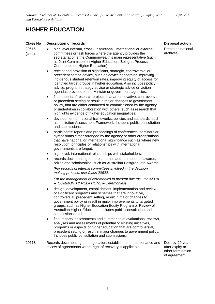#### **Class No Description of records**

20616 (cont)

- high level internal, cross-jurisdictional, international or external committees or task forces where the agency provides the secretariat or is the Commonwealth's main representative (such as Joint Committee on Higher Education, Bologna Process Conference on Higher Education);
- receipt and provision of significant, strategic, controversial or precedent setting advice, such as advice concerning improving indigenous student retention rates, improving equity of access for identified target groups in higher education. Also includes policy advice, program strategy advice or strategic advice on action agendas provided to the Minister or government agencies;
- final reports of research projects that are innovative, controversial or precedent setting or result in major changes to government policy, that are either conducted or commissioned by the agency or undertaken in collaboration with others, such as research that highlights evidence of higher education inequalities;
- development of national frameworks, policies and standards, such as Institution Assessment Framework. Includes public consultation and submissions;
- participants' reports and proceedings of conferences, seminars or symposiums either arranged by the agency or other organisations, that have national or international significance such as where new resolution, principles or relationships with international governments are forged;
- high level, international relationships with stakeholders;
- records documenting the presentation and promotion of awards, prizes and scholarships, such as Australian Postgraduate Awards;

*[For records of internal committees involved in the decision making process, use Class 20622.* 

*For the management of ceremonies to present awards, use AFDA – COMMUNITY RELATIONS – Ceremonies].* 

- design, development, establishment, implementation and review of significant programs and schemes that are innovative, controversial, precedent setting, result in major changes to government policy or result in major improvements to targeted groups, such as Higher Education Equity Program or Review of Australian Higher Education. Includes public consultation and submissions; and
- final reports, assessments and summaries of evaluations, reviews, analyses and assessments of potential or existing initiatives, programs or aspects of higher education that are controversial, precedent setting or result in major changes to government policy. Includes public consultation and submissions.
- Records documenting the negotiation, establishment, maintenance and review of agreements where right of recovery is applicable. 20618

Destroy 20 years after expiry or other termination of agreement

Retain as national archives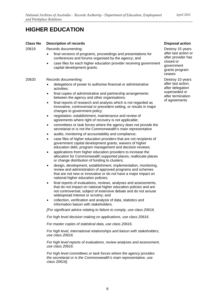#### **Class No Description of records**

20619 Records documenting:

- final versions of programs, proceedings and presentations for conferences and forums organised by the agency; and
- case files for each higher education provider receiving government capital development grants.

#### 20620 Records documenting:

- delegations of power to authorise financial or administrative activities;
- final copies of administrative and partnership arrangements between the agency and other organisations;
- final reports of research and analysis which is not regarded as innovative, controversial or precedent setting, or results in major changes to government policy;
- negotiation, establishment, maintenance and review of agreements where right of recovery is not applicable;
- committees or task forces where the agency does not provide the secretariat or is not the Commonwealth's main representative
- audits, monitoring of accountability and compliance;
- case files of higher education providers that are not recipients of government capital development grants, waivers of higher education debt, program management and decision reviews;
- applications from higher education providers to increase the allocation for Commonwealth supported places, reallocate places or change distribution of funding to clusters;
- design, development, establishment, implementation, monitoring, review and administration of approved programs and schemes that are not new or innovative or do not have a major impact on national higher education policies;
- final reports of evaluations, reviews, analyses and assessments, that do not impact on national higher education policies and are not controversial, subject of extensive debate and do not arouse widespread interest or scrutiny; and
- collection, verification and analysis of data, statistics and information liaison with stakeholders.

*[For significant advice relating to failure to comply, use class 20616.* 

*For high level decision making on applications, use class 20616.* 

*For master copies of statistical data, use class 20616.* 

*For high level, international relationships and liaison with stakeholders, use class 20616.* 

*For high level reports of evaluations, review analyses and assessment, use class 20616.* 

*For high level committees or task forces where the agency provides the secretariat or is the Commonwealth's main representative, use class 20616].* 

#### **Disposal action**

Destroy 15 years after last action or after provider has closed or government grants program ceases

Destroy 10 years after last action, after delegation superseded or after termination of agreements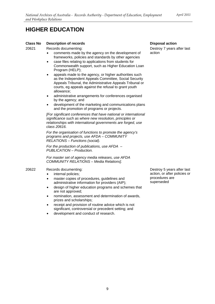#### **Class No Description of records**

20621 Records documenting:

- comments made by the agency on the development of frameworks, policies and standards by other agencies
- case files relating to applications from students for Commonwealth support, such as Higher Education Loan Program (HELP);
- appeals made to the agency, or higher authorities such as the Independent Appeals Committee, Social Security Appeals Tribunal, the Administrative Appeals Tribunal or courts, eg appeals against the refusal to grant youth allowance;
- administrative arrangements for conferences organised by the agency; and
- development of the marketing and communications plans and the promotion of programs or projects.

*[For significant conferences that have national or international significance such as where new resolution, principles or relationships with international governments are forged, use class 20616.* 

*For the organisation of functions to promote the agency's programs and projects, use AFDA – COMMUNITY RELATIONS – Functions (social).* 

*For the production of publications, use AFDA – PUBLICATION – Production.* 

*For master set of agency media releases, use AFDA COMMUNITY RELATIONS – Media Relations].* 

#### 20622 Records documenting:

- internal policies:
- master copies of procedures, guidelines and administrative information for providers (AIP);
- design of higher education programs and schemes that are not approved;
- nomination, assessment and determination of awards, prizes and scholarships;
- receipt and provision of routine advice which is not significant, controversial or precedent setting; and
- development and conduct of research.

**Disposal action**  Destroy 7 years after last action

Destroy 5 years after last action, or after policies or procedures are superseded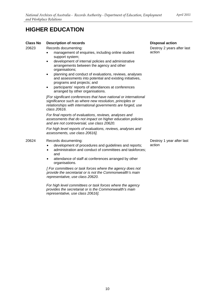#### **Class No Description of records**

20623 Records documenting:

- management of enquiries, including online student support system;
- development of internal policies and administrative arrangements between the agency and other organisations;
- planning and conduct of evaluations, reviews, analyses and assessments into potential and existing initiatives, programs and projects; and
- participants' reports of attendances at conferences arranged by other organisations.

*[For significant conferences that have national or international significance such as where new resolution, principles or relationships with international governments are forged, use class 20616.* 

*For final reports of evaluations, reviews, analyses and assessments that do not impact on higher education policies and are not controversial, use class 20620.* 

*For high level reports of evaluations, reviews, analyses and assessments, use class 20616].* 

#### 20624 Records documenting:

- development of procedures and guidelines and reports;
- administration and conduct of committees and taskforces; and
- attendance of staff at conferences arranged by other organisations.

*[ For committees or task forces where the agency does not provide the secretariat or is not the Commonwealth's main representative, use class 20620.* 

*For high level committees or task forces where the agency provides the secretariat or is the Commonwealth's main representative, use class 20616].* 

**Disposal action**  Destroy 2 years after last action

Destroy 1 year after last action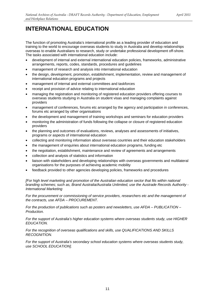<span id="page-10-0"></span>The function of promoting Australia's international profile as a leading provider of education and training to the world to encourage overseas students to study in Australia and develop relationships overseas to enable Australians to research, study or undertake professional development off-shore. The tasks associated with international education include:

- development of internal and external international education policies, frameworks, administrative arrangements, reports, codes, standards, procedures and guidelines
- management of research and analysis into international education
- the design, development, promotion, establishment, implementation, review and management of international education programs and projects
- management of internal and external committees and taskforces
- receipt and provision of advice relating to international education
- managing the registration and monitoring of registered education providers offering courses to overseas students studying in Australia on student visas and managing complaints against providers
- management of conferences, forums etc arranged by the agency and participation in conferences, forums etc arranged by other organisations
- the development and management of training workshops and seminars for education providers
- monitoring the administration of funds following the collapse or closure of registered education providers
- the planning and outcomes of evaluations, reviews, analyses and assessments of initiatives, programs or aspects of international education
- collecting and monitoring information about overseas countries and their education stakeholders
- the management of enquiries about international education programs, funding etc
- the negotiation, establishment, maintenance and review of agreements and arrangements
- collection and analysis of statistics and information
- liaison with stakeholders and developing relationships with overseas governments and multilateral organisations for the purposes of achieving academic mobility
- feedback provided to other agencies developing policies, frameworks and procedures

*[For high level marketing and promotion of the Australian education sector that fits within national branding schemes; such as, Brand Australia/Australia Unlimited, use the Austrade Records Authority - International Marketing* 

*For the procurement or commissioning of service providers, researchers etc and the management of the contracts, use AFDA – PROCUREMENT.* 

*For the production of publications such as posters and newsletters, use AFDA – PUBLICATION – Production.* 

*For the support of Australia's higher education systems where overseas students study, use HIGHER EDUCATION.* 

*For the recognition of overseas qualifications and skills, use QUALIFICATIONS AND SKILLS RECOGNITION.* 

*For the support of Australia's secondary school education systems where overseas students study, use SCHOOL EDUCATION].*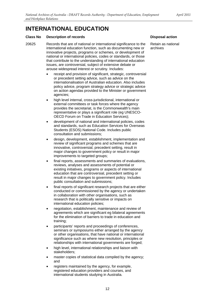#### **Class No Description of records**

- 20625 Records that are of national or international significance to the international education function, such as documenting new or innovative projects, programs or schemes, or development of national or international policies, codes or standards, or those that contribute to the understanding of international education issues, are controversial, subject of extensive debate or arouse widespread interest or scrutiny. Includes:
	- receipt and provision of significant, strategic, controversial or precedent setting advice, such as advice on the internationalisation of Australian education. Also includes policy advice, program strategy advice or strategic advice on action agendas provided to the Minister or government agencies;
	- high level internal, cross-jurisdictional, international or external committees or task forces where the agency provides the secretariat, is the Commonwealth's main representative or plays a significant role (eg UNESCO-OECD Forum on Trade in Education Services);
	- development of national and international policies, codes and standards, such as Education Services for Overseas Students (ESOS) National Code. Includes public consultation and submissions;
	- design, development, establishment, implementation and review of significant programs and schemes that are innovative, controversial, precedent setting, result in major changes to government policy or result in major improvements to targeted groups;
	- final reports, assessments and summaries of evaluations, reviews, analyses and assessments of potential or existing initiatives, programs or aspects of international education that are controversial, precedent setting or result in major changes to government policy. Includes public consultation and submissions;
	- final reports of significant research projects that are either conducted or commissioned by the agency or undertaken in collaboration with other organisations, such as research that is politically sensitive or impacts on international education policies;
	- negotiation, establishment, maintenance and review of agreements which are significant eg bilateral agreements for the elimination of barriers to trade in education and training;
	- participants' reports and proceedings of conferences, seminars or symposiums either arranged by the agency or other organisations, that have national or international significance such as where new resolution, principles or relationships with international governments are forged;
	- high level, international relationships and liaison with stakeholders;
	- master copies of statistical data compiled by the agency; and
	- registers maintained by the agency, for example, registered education providers and courses, and international students studying in Australia.

#### **Disposal action**

Retain as national archives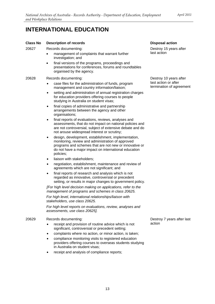| <b>Class No</b> | <b>Description of records</b>                                                                                                                                                                                                                 | <b>Disposal action</b>                           |
|-----------------|-----------------------------------------------------------------------------------------------------------------------------------------------------------------------------------------------------------------------------------------------|--------------------------------------------------|
| 20627           | Records documenting:                                                                                                                                                                                                                          | Destroy 15 years after                           |
|                 | management of complaints that warrant further<br>٠<br>investigation; and                                                                                                                                                                      | last action                                      |
|                 | final versions of the programs, proceedings and<br>٠<br>presentations for conferences, forums and roundtables<br>organised by the agency.                                                                                                     |                                                  |
| 20628           | Records documenting:                                                                                                                                                                                                                          | Destroy 10 years after                           |
|                 | case files for the administration of funds, program<br>management and country information/liaison;                                                                                                                                            | last action or after<br>termination of agreement |
|                 | setting and administration of annual registration charges<br>$\bullet$<br>for education providers offering courses to people<br>studying in Australia on student visas;                                                                       |                                                  |
|                 | final copies of administrative and partnership<br>$\bullet$<br>arrangements between the agency and other<br>organisations;                                                                                                                    |                                                  |
|                 | final reports of evaluations, reviews, analyses and<br>٠<br>assessments, that do not impact on national policies and<br>are not controversial, subject of extensive debate and do<br>not arouse widespread interest or scrutiny;              |                                                  |
|                 | design, development, establishment, implementation,<br>٠<br>monitoring, review and administration of approved<br>programs and schemes that are not new or innovative or<br>do not have a major impact on international education<br>policies; |                                                  |
|                 | liaison with stakeholders;<br>٠                                                                                                                                                                                                               |                                                  |
|                 | negotiation, establishment, maintenance and review of<br>٠<br>agreements which are not significant; and                                                                                                                                       |                                                  |
|                 | final reports of research and analysis which is not<br>$\bullet$<br>regarded as innovative, controversial or precedent<br>setting, or results in major changes to government policy.                                                          |                                                  |
|                 | [For high level decision making on applications, refer to the<br>management of programs and schemes in class 20625.                                                                                                                           |                                                  |
|                 | For high level, international relationships/liaison with<br>stakeholders, use class 20625.                                                                                                                                                    |                                                  |
|                 | For high level reports on evaluations, review, analyses and<br>assessments, use class 20625].                                                                                                                                                 |                                                  |
| 20629           | Records documenting:                                                                                                                                                                                                                          | Destroy 7 years after last                       |
|                 | receipt and provision of routine advice which is not<br>significant, controversial or precedent setting;                                                                                                                                      | action                                           |
|                 | complaints where no action, or minor action, is taken;<br>$\bullet$                                                                                                                                                                           |                                                  |
|                 | compliance monitoring visits to registered education<br>٠<br>providers offering courses to overseas students studying<br>in Australia on student visas:                                                                                       |                                                  |
|                 | receipt and analysis of compliance reports;                                                                                                                                                                                                   |                                                  |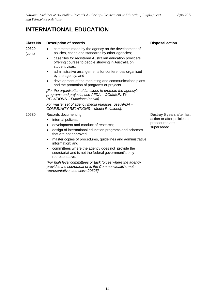- 20629 comments made by the agency on the development of (cont) policies, codes and standards by other agencies;
	- case files for registered Australian education providers offering courses to people studying in Australia on student visas;
	- administrative arrangements for conferences organised by the agency; and
	- development of the marketing and communications plans and the promotion of programs or projects.

*[For the organisation of functions to promote the agency's programs and projects, use AFDA – COMMUNITY RELATIONS – Functions (social).* 

*For master set of agency media releases, use AFDA – COMMUNITY RELATIONS – Media Relations].* 

#### 20630 Records documenting:

- internal policies;
- development and conduct of research;
- design of international education programs and schemes that are not approved;
- master copies of procedures, guidelines and administrative information; and
- committees where the agency does not provide the secretariat and is not the federal government's only representative.

*[For high level committees or task forces where the agency provides the secretariat or is the Commonwealth's main representative, use class 20625].* 

Destroy 5 years after last action or after policies or procedures are superseded

**Disposal action**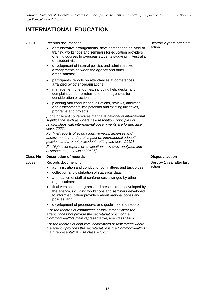#### 20631 Records documenting:

- administrative arrangements, development and delivery of training workshops and seminars for education providers offering courses to overseas students studying in Australia on student visas;
- development of internal policies and administrative arrangements between the agency and other organisations;
- participants' reports on attendances at conferences arranged by other organisations;
- management of enquiries, including help desks, and complaints that are referred to other agencies for consideration or action; and
- planning and conduct of evaluations, reviews, analyses and assessments into potential and existing initiatives, programs and projects.

*[For significant conferences that have national or international significance such as where new resolution, principles or relationships with international governments are forged ,use class 20625.* 

*For final reports of evaluations, reviews, analyses and assessments that do not impact on international education policies, and are not precedent setting use class 20628 For high level reports on evaluations, reviews, analyses and assessments, use class 20625].* 

#### **Class No Description of records**

20632 Records documenting:

- administration and conduct of committees and taskforces;
- collection and distribution of statistical data;
- attendance of staff at conferences arranged by other organisations;
- final versions of programs and presentations developed by the agency, including workshops and seminars developed to inform education providers about national codes and policies; and
- • development of procedures and guidelines and reports;

*[For the records of committees or task forces where the agency does not provide the secretariat or is not the Commonwealth's main representative, use class 20630.* 

*For the records of high level committees or task forces where the agency provides the secretariat or is the Commonwealth's main representative, use class 20625].* 

Destroy 2 years after last action

#### **Disposal action**

Destroy 1 year after last action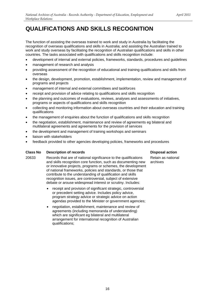## <span id="page-15-0"></span>**QUALIFICATIONS AND SKILLS RECOGNITION**

The function of assisting the overseas trained to work and study in Australia by facilitating the recognition of overseas qualifications and skills in Australia; and assisting the Australian trained to work and study overseas by facilitating the recognition of Australian qualifications and skills in other countries. The tasks associated with qualifications and skills recognition include:

- development of internal and external policies, frameworks, standards, procedures and quidelines
- management of research and analysis
- providing assessment of the recognition of educational and training qualifications and skills from overseas
- the design, development, promotion, establishment, implementation, review and management of programs and projects
- management of internal and external committees and taskforces
- receipt and provision of advice relating to qualifications and skills recognition
- the planning and outcomes of evaluations, reviews, analyses and assessments of initiatives, programs or aspects of qualifications and skills recognition
- collecting and monitoring information about overseas countries and their education and training qualifications
- the management of enquiries about the function of qualifications and skills recognition
- the negotiation, establishment, maintenance and review of agreements eg bilateral and multilateral agreements and agreements for the provision of services
- the development and management of training workshops and seminars
- liaison with stakeholders
- feedback provided to other agencies developing policies, frameworks and procedures

#### **Class No Description of records Disposal action Action Action Action Action Action Action Action Action Action**

- 20633 Records that are of national significance to the qualifications Retain as national and skills recognition core function, such as documenting new archives or innovative projects, programs or schemes, the development of national frameworks, policies and standards, or those that contribute to the understanding of qualification and skills recognition issues, are controversial, subject of extensive debate or arouse widespread interest or scrutiny. Includes:
	- receipt and provision of significant strategic, controversial or precedent setting advice. Includes policy advice, program strategy advice or strategic advice on action agendas provided to the Minister or government agencies;
	- negotiation, establishment, maintenance and review of agreements (including memoranda of understanding) which are significant eg bilateral and multilateral arrangement for international recognition of Australian qualifications;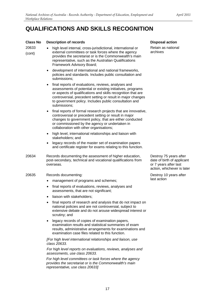### **Class No Description of records**

| Giass no        | <b>Description of records</b>                                                                                                                                                                                                                                                                                                           | וע  |
|-----------------|-----------------------------------------------------------------------------------------------------------------------------------------------------------------------------------------------------------------------------------------------------------------------------------------------------------------------------------------|-----|
| 20633<br>(cont) | high level internal, cross-jurisdictional, international or<br>external committees or task forces where the agency<br>provides the secretariat or is the Commonwealth's main<br>representative, such as the Australian Qualifications<br>Framework Advisory Board;                                                                      |     |
|                 | development of international and national frameworks,<br>٠<br>policies and standards. Includes public consultation and<br>submissions;                                                                                                                                                                                                  |     |
|                 | final reports of evaluations, reviews, analyses and<br>$\bullet$<br>assessments of potential or existing initiatives, programs<br>or aspects of qualifications and skills recognition that are<br>controversial, precedent setting or result in major changes<br>to government policy. Includes public consultation and<br>submissions; |     |
|                 | final reports of formal research projects that are innovative,<br>٠<br>controversial or precedent setting or result in major<br>changes to government policy, that are either conducted<br>or commissioned by the agency or undertaken in<br>collaboration with other organisations;                                                    |     |
|                 | high level, international relationships and liaison with<br>٠<br>stakeholders; and                                                                                                                                                                                                                                                      |     |
|                 | legacy records of the master set of examination papers<br>and certificate register for exams relating to this function.                                                                                                                                                                                                                 |     |
| 20634           | Records documenting the assessment of higher education,<br>post-secondary, technical and vocational qualifications from<br>overseas.                                                                                                                                                                                                    |     |
| 20635           | Records documenting:                                                                                                                                                                                                                                                                                                                    | D٤  |
|                 | management of programs and schemes;                                                                                                                                                                                                                                                                                                     | la: |
|                 | final reports of evaluations, reviews, analyses and<br>$\bullet$<br>assessments, that are not significant;                                                                                                                                                                                                                              |     |
|                 | liaison with stakeholders;                                                                                                                                                                                                                                                                                                              |     |
|                 | final reports of research and analysis that do not impact on<br>national policies and are not controversial, subject to<br>extensive debate and do not arouse widespread interest or<br>scrutiny; and                                                                                                                                   |     |
|                 | legacy records of copies of examination papers,<br>examination results and statistical summaries of exam<br>results, administrative arrangements for examinations and<br>examination case files related to this function.                                                                                                               |     |
|                 | [For high level international relationships and liaison, use<br>class 20633.                                                                                                                                                                                                                                                            |     |

*For high level reports on evaluations, reviews, analyses and assessments, use class 20633.* 

*For high level committees or task forces where the agency provides the secretariat or is the Commonwealth's main representative, use class 20633]* 

**Disposal action** 

etain as national chives

estroy 75 years after ate of birth of applicant 7 years after last ction, whichever is later

estroy 10 years after st action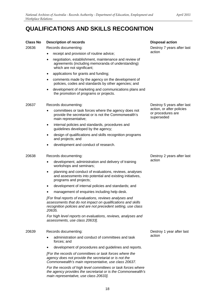## **QUALIFICATIONS AND SKILLS RECOGNITION**

| <b>Class No</b> | <b>Description of records</b>                                                                                                                                                                     | <b>Disposal action</b>                                       |
|-----------------|---------------------------------------------------------------------------------------------------------------------------------------------------------------------------------------------------|--------------------------------------------------------------|
| 20636           | Records documenting:                                                                                                                                                                              | Destroy 7 years after last                                   |
|                 | receipt and provision of routine advice;                                                                                                                                                          | action                                                       |
|                 | negotiation, establishment, maintenance and review of<br>agreements (including memoranda of understanding)<br>which are not significant;                                                          |                                                              |
|                 | applications for grants and funding;                                                                                                                                                              |                                                              |
|                 | comments made by the agency on the development of<br>٠<br>policies, codes and standards by other agencies; and                                                                                    |                                                              |
|                 | development of marketing and communications plans and<br>the promotion of programs or projects.                                                                                                   |                                                              |
| 20637           | Records documenting:                                                                                                                                                                              | Destroy 5 years after last                                   |
|                 | committees or task forces where the agency does not<br>٠<br>provide the secretariat or is not the Commonwealth's<br>main representative;                                                          | action, or after policies<br>or procedures are<br>superseded |
|                 | internal policies and standards, procedures and<br>٠<br>guidelines developed by the agency;                                                                                                       |                                                              |
|                 | design of qualifications and skills recognition programs<br>and projects; and                                                                                                                     |                                                              |
|                 | development and conduct of research.                                                                                                                                                              |                                                              |
| 20638           | Records documenting:                                                                                                                                                                              | Destroy 2 years after last                                   |
|                 | development, administration and delivery of training<br>workshops and seminars;                                                                                                                   | action                                                       |
|                 | planning and conduct of evaluations, reviews, analyses<br>٠<br>and assessments into potential and existing initiatives,<br>programs and projects;                                                 |                                                              |
|                 | development of internal policies and standards; and<br>٠                                                                                                                                          |                                                              |
|                 | management of enquiries including help desk.                                                                                                                                                      |                                                              |
|                 | [For final reports of evaluations, reviews analyses and<br>assessments that do not impact on qualifications and skills<br>recognition policies and are not precedent setting, use class<br>20635. |                                                              |
|                 | For high level reports on evaluations, reviews, analyses and<br>assessments, use class 20633].                                                                                                    |                                                              |
| 20639           | Records documenting:                                                                                                                                                                              | Destroy 1 year after last                                    |
|                 | administration and conduct of committees and task<br>forces; and                                                                                                                                  | action                                                       |
|                 | development of procedures and guidelines and reports.                                                                                                                                             |                                                              |
|                 | [For the records of committees or task forces where the<br>agency does not provide the secretariat or is not the<br>Commonwealth's main representative, use class 20637.                          |                                                              |
|                 | For the records of high level committees or task forces where<br>the agency provides the secretariat or is the Commonwealth's                                                                     |                                                              |

*main representative, use class 20633].*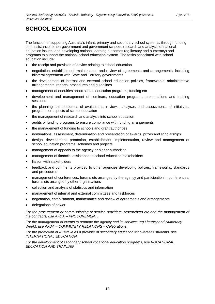<span id="page-18-0"></span>The function of supporting Australia's infant, primary and secondary school systems, through funding and assistance to non-government and government schools, research and analysis of national education issues, and developing national learning outcomes (eg literacy and numeracy) and programs to support the national school education system. The tasks associated with school education include:

- the receipt and provision of advice relating to school education
- negotiation, establishment, maintenance and review of agreements and arrangements, including bilateral agreement with State and Territory governments
- the development of internal and external school education policies, frameworks, administrative arrangements, reports, procedures and guidelines
- management of enquiries about school education programs, funding etc
- development and management of seminars, education programs, presentations and training sessions
- the planning and outcomes of evaluations, reviews, analyses and assessments of initiatives, programs or aspects of school education
- the management of research and analysis into school education
- audits of funding programs to ensure compliance with funding arrangements
- the management of funding to schools and grant authorities
- nominations, assessment, determination and presentation of awards, prizes and scholarships
- • design, development, promotion, establishment, implementation, review and management of school education programs, schemes and projects
- management of appeals to the agency or higher authorities
- management of financial assistance to school education stakeholders
- liaison with stakeholders
- feedback and comments provided to other agencies developing policies, frameworks, standards and procedures
- management of conferences, forums etc arranged by the agency and participation in conferences, forums etc arranged by other organisations
- collection and analysis of statistics and information
- management of internal and external committees and taskforces
- negotiation, establishment, maintenance and review of agreements and arrangements
- delegations of power

*For the procurement or commissioning of service providers, researchers etc and the management of the contracts, use AFDA – PROCUREMENT.* 

*For the management of events to promote the agency and its services (eg Literacy and Numeracy Week), use AFDA – COMMUNITY RELATIONS – Celebrations.* 

*For the promotion of Australia as a provider of secondary education for overseas students, use INTERNATIONAL EDUCATION.* 

*For the development of secondary school vocational education programs, use VOCATIONAL EDUCATION AND TRAINING.*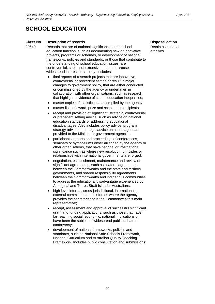#### **Class No Description of records**

20640 Records that are of national significance to the school education function, such as documenting new or innovative projects, programs or schemes, or development of national frameworks, policies and standards, or those that contribute to the understanding of school education issues, are controversial, subject of extensive debate or arouse widespread interest or scrutiny. Includes:

- final reports of research projects that are innovative, controversial or precedent setting or result in major changes to government policy, that are either conducted or commissioned by the agency or undertaken in collaboration with other organisations, such as research that highlights evidence of school education inequalities;
- master copies of statistical data compiled by the agency;
- master lists of award, prize and scholarship recipients;
- receipt and provision of significant, strategic, controversial or precedent setting advice, such as advice on national education standards or addressing educational disadvantages. Also includes policy advice, program strategy advice or strategic advice on action agendas provided to the Minister or government agencies;
- participants' reports and proceedings of conferences, seminars or symposiums either arranged by the agency or other organisations, that have national or international significance such as where new resolution, principles or relationships with international governments are forged;
- negotiation, establishment, maintenance and review of significant agreements, such as bilateral agreements between the Commonwealth and the state and territory governments, and shared responsibility agreements between the Commonwealth and indigenous communities to address the educational disadvantage experienced by Aboriginal and Torres Strait Islander Australians;
- high level internal, cross-jurisdictional, international or external committees or task forces where the agency provides the secretariat or is the Commonwealth's main representative;
- receipt, assessment and approval of successful significant grant and funding applications, such as those that have far-reaching social, economic, national implications or have been the subject of widespread public debate or controversy;
- development of national frameworks, policies and standards, such as National Safe Schools Framework, National Curriculum and Australian Quality Teaching Framework. Includes public consultation and submissions;

**Disposal action**  Retain as national archives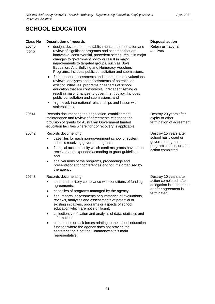## **Class No Description of records**<br>20640 **·** design. developmen

| <b>Class No</b> | <b>Description of records</b>                                                                                                                                                                                                                                                                                                                                                                                                                                                                                                                                                                                                                                                                                                                | <b>Disposal action</b>                                                                     |
|-----------------|----------------------------------------------------------------------------------------------------------------------------------------------------------------------------------------------------------------------------------------------------------------------------------------------------------------------------------------------------------------------------------------------------------------------------------------------------------------------------------------------------------------------------------------------------------------------------------------------------------------------------------------------------------------------------------------------------------------------------------------------|--------------------------------------------------------------------------------------------|
| 20640<br>(cont) | design, development, establishment, implementation and<br>review of significant programs and schemes that are<br>innovative, controversial, precedent setting, result in major<br>changes to government policy or result in major<br>improvements to targeted groups, such as Boys<br>Education, Anti-Bullying and Numeracy Vouchers<br>Programs. Includes public consultation and submissions;<br>final reports, assessments and summaries of evaluations,<br>٠<br>reviews, analyses and assessments of potential or<br>existing initiatives, programs or aspects of school<br>education that are controversial, precedent setting or<br>result in major changes to government policy. Includes<br>public consultation and submissions; and | Retain as national<br>archives                                                             |
|                 | high level, international relationships and liaison with<br>٠<br>stakeholders.                                                                                                                                                                                                                                                                                                                                                                                                                                                                                                                                                                                                                                                               |                                                                                            |
| 20641           | Records documenting the negotiation, establishment,<br>maintenance and review of agreements relating to the<br>provision of grants for Australian Government funded<br>education facilities where right of recovery is applicable.                                                                                                                                                                                                                                                                                                                                                                                                                                                                                                           | Destroy 20 years after<br>expiry or other<br>termination of agreement                      |
| 20642           | Records documenting:                                                                                                                                                                                                                                                                                                                                                                                                                                                                                                                                                                                                                                                                                                                         | Destroy 15 years after                                                                     |
|                 | case files for each non-government school or system<br>٠<br>schools receiving government grants;<br>financial accountability which confirms grants have been<br>٠<br>received and expended according to grant guidelines;<br>and<br>final versions of the programs, proceedings and<br>presentations for conferences and forums organised by<br>the agency.                                                                                                                                                                                                                                                                                                                                                                                  | school has closed or<br>government grants<br>program ceases, or after<br>action completed  |
| 20643           | Records documenting:                                                                                                                                                                                                                                                                                                                                                                                                                                                                                                                                                                                                                                                                                                                         | Destroy 10 years after                                                                     |
|                 | state and territory compliance with conditions of funding<br>٠<br>agreements;<br>case files of programs managed by the agency;<br>٠<br>final reports, assessments or summaries of evaluations,<br>reviews, analyses and assessments of potential or<br>existing initiatives, programs or aspects of school<br>education which are not significant;<br>collection, verification and analysis of data, statistics and<br>$\bullet$<br>information;<br>committees or task forces relating to the school education<br>٠<br>function where the agency does not provide the<br>secretariat or is not the Commonwealth's main<br>representative;                                                                                                    | action completed, after<br>delegation is superseded<br>or after agreement is<br>terminated |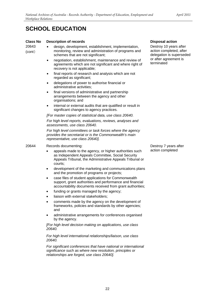#### **Class No Description of records Disposal action Action Action Action Action Action Action Action Action Action**

- 20643 · design, development, establishment, implementation, (cont) monitoring, review and administration of programs and schemes that are not significant;
	- negotiation, establishment, maintenance and review of agreements which are not significant and where right of recovery is not applicable;
	- final reports of research and analysis which are not regarded as significant;
	- delegations of power to authorise financial or administrative activities;
	- final versions of administrative and partnership arrangements between the agency and other organisations; and
	- internal or external audits that are qualified or result in significant changes to agency practices.

*[For master copies of statistical data, use class 20640.* 

*For high level reports, evaluations, reviews, analyses and assessments, use class 20640.* 

*For high level committees or task forces where the agency provides the secretariat or is the Commonwealth's main representative, use class 20640].* 

#### 20644 Records documenting:

- appeals made to the agency, or higher authorities such as Independent Appeals Committee, Social Security Appeals Tribunal, the Administrative Appeals Tribunal or courts;
- development of the marketing and communications plans and the promotion of programs or projects;
- case files of student applications for Commonwealth support, grant authorities and performance and financial accountability documents received from grant authorities;
- funding or grants managed by the agency;
- liaison with external stakeholders;
- comments made by the agency on the development of frameworks, policies and standards by other agencies; and
- administrative arrangements for conferences organised by the agency.

*[For high level decision making on applications, use class 20640.* 

*For high level international relationships/liaison, use class 20640.* 

*For significant conferences that have national or international significance such as where new resolution, principles or relationships are forged, use class 20640].* 

Destroy 10 years after action completed, after delegation is superseded or after agreement is terminated

Destroy 7 years after action completed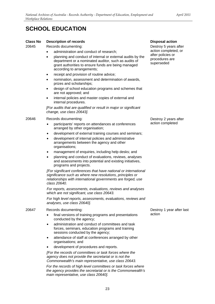#### **Class No Description of records**

20645 Records documenting:

- administration and conduct of research;
- planning and conduct of internal or external audits by the department or a nominated auditor, such as audits of grant authorities to ensure funds are being managed according to arrangements;
- receipt and provision of routine advice;
- nomination, assessment and determination of awards, prizes and scholarships;
- design of school education programs and schemes that are not approved; and
- internal policies and master copies of external and internal procedures.

*[For audits that are qualified or result in major or significant change, use class 20643].* 

#### 20646 Records documenting:

- participants' reports on attendances at conferences arranged by other organisation;
- development of external training courses and seminars;
- development of internal policies and administrative arrangements between the agency and other organisations;
- management of enquiries, including help desks; and
- planning and conduct of evaluations, reviews, analyses and assessments into potential and existing initiatives, programs and projects.

*[For significant conferences that have national or international significance such as where new resolutions, principles or relationships with international governments are forged, use class 20640.* 

*For reports, assessments, evaluations, reviews and analyses which are not significant, use class 20643.* 

*For high level reports, assessments, evaluations, reviews and analyses, use class 20640].* 

#### 20647 Records documenting:

- final versions of training programs and presentations conducted by the agency;
- administration and conduct of committees and task forces, seminars, education programs and training sessions conducted by the agency;
- attendance of staff at conferences arranged by other organisations; and
- development of procedures and reports.

*[For the records of committees or task forces where the agency does not provide the secretariat or is not the Commonwealth's main representative, use class 20643.* 

*For the records of high level committees or task forces where the agency provides the secretariat or is the Commonwealth's main representative, use class 20640].* 

#### **Disposal action**

Destroy 5 years after action completed, or after policies or procedures are superseded

Destroy 2 years after action completed

Destroy 1 year after last action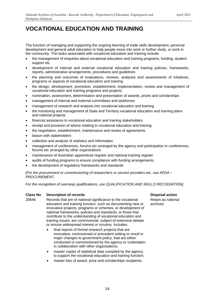<span id="page-23-0"></span>The function of managing and supporting the ongoing learning of trade skills development, personal development and general adult education to help people move into work or further study, or work in the community. The tasks associated with vocational education and training include:

- the management of enquiries about vocational education and training programs, funding, student support etc
- development of internal and external vocational education and training policies, frameworks, reports, administrative arrangements, procedures and guidelines
- the planning and outcomes of evaluations, reviews, analyses and assessments of initiatives, programs or aspects of vocational education and training
- the design, development, promotion, establishment, implementation, review and management of vocational education and training programs and projects
- nomination, assessment, determination and presentation of awards, prizes and scholarships
- management of internal and external committees and taskforces
- management of research and analysis into vocational education and training
- the monitoring and management of State and Territory vocational education and training plans and national projects
- financial assistance to vocational education and training stakeholders
- receipt and provision of advice relating to vocational education and training
- the negotiation, establishment, maintenance and review of agreements
- liaison with stakeholders
- collection and analysis of statistics and information
- management of conferences, forums etc arranged by the agency and participation in conferences, forums etc arranged by other organisations
- maintenance of Australian apprentices register and national training register
- audits of funding programs to ensure compliance with funding arrangements
- the development of regulatory frameworks and standards

*[For the procurement or commissioning of researchers or service providers etc, use AFDA – PROCUREMENT.* 

*For the recognition of overseas qualifications, use QUALIFICATION AND SKILLS RECOGNITION].* 

#### **Class No Description of records Disposal action Action Action Action Action Action Action Action Action Action**

20648 Records that are of national significance to the vocational Retain as national education and training function, such as documenting new or archives innovative projects, programs or schemes, or development of national frameworks, policies and standards, or those that contribute to the understanding of vocational education and training issues, are controversial, subject of extensive debate or arouse widespread interest or scrutiny. Includes:

- final reports of formal research projects that are innovative, controversial or precedent setting or result in major changes to government policy, that are either conducted or commissioned by the agency or undertaken in collaboration with other organisations;
- master copies of statistical data compiled by the agency to support the vocational education and training function;
- master lists of award, prize and scholarships recipients;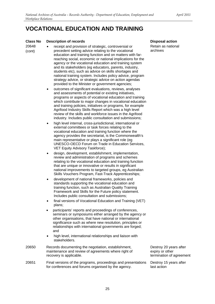#### **Class No Description of records**

20648 (cont)

- receipt and provision of strategic, controversial or precedent setting advice relating to the vocational education and training function and on matters with farreaching social, economic or national implications for the agency or the vocational education and training system and its stakeholders (eg educators, parents, industry, students etc), such as advice on skills shortages and national training system. Includes policy advice, program strategy advice, or strategic advice on action agendas provided to the Minister or government agencies;
	- outcomes of significant evaluations, reviews, analyses and assessments of potential or existing initiatives, programs or aspects of vocational education and training which contribute to major changes in vocational education and training policies, initiatives or programs, for example Agrifood Industry Skills Report which was a high level review of the skills and workforce issues in the Agrifood industry. Includes public consultation and submissions;
	- high level internal, cross-jurisdictional, international or external committees or task forces relating to the vocational education and training function where the agency provides the secretariat, is the Commonwealth's main representative or plays a significant role (eg UNESCO-OECD Forum on Trade in Education Services, VET Equity Advisory Taskforce);
	- design, development, establishment, implementation, review and administration of programs and schemes relating to the vocational education and training function that are unique or innovative or results in significant national improvements to targeted groups, eg Australian Skills Vouchers Program, Fast-Track Apprenticeships;
	- development of national frameworks, policies and standards supporting the vocational education and training function, such as Australian Quality Training Framework and Skills for the Future policy statement. Includes public consultation and submissions;
	- final versions of Vocational Education and Training (VET) plans;
	- participants' reports and proceedings of conferences, seminars or symposiums either arranged by the agency or other organisations, that have national or international significance such as where new resolution, principles or relationships with international governments are forged; and
	- high level, international relationships and liaison with stakeholders.
- 20650 Records documenting the negotiation, establishment, maintenance and review of agreements where right of recovery is applicable. Destroy 20 years after expiry or other
- 20651 Final versions of the programs, proceedings and presentations for conferences and forums organised by the agency.

**Disposal action** 

Retain as national archives

termination of agreement

Destroy 15 years after last action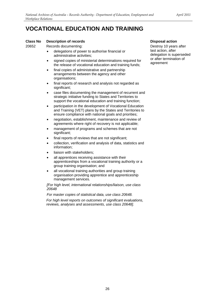### **Class No Description of records Disposal action Action Action Action Action Action Action Action Action Action**

20652 Records documenting: Destroy 10 years after

- delegations of power to authorise financial or administrative activities;
- signed copies of ministerial determinations required for the release of vocational education and training funds;
- final copies of administrative and partnership arrangements between the agency and other organisations;
- final reports of research and analysis not regarded as significant;
- case files documenting the management of recurrent and strategic initiative funding to States and Territories to support the vocational education and training function;
- participation in the development of Vocational Education and Training (VET) plans by the States and Territories to ensure compliance with national goals and priorities;
- negotiation, establishment, maintenance and review of agreements where right of recovery is not applicable;
- management of programs and schemes that are not significant;
- final reports of reviews that are not significant;
- collection, verification and analysis of data, statistics and information;
- liaison with stakeholders;
- all apprentices receiving assistance with their apprenticeships from a vocational training authority or a group training organisation; and
- all vocational training authorities and group training organisation providing apprentice and apprenticeship management services.

*[For high level, international relationships/liaison, use class 20648* 

*For master copies of statistical data, use class 20648.* 

*For high level reports on outcomes of significant evaluations, reviews, analyses and assessments, use class 20648].* 

last action, after delegation is superseded or after termination of agreement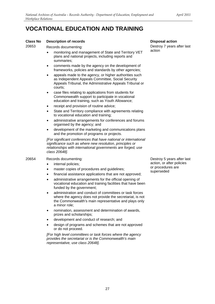#### **Class No Description of records**

20653 Records documenting:

- monitoring and management of State and Territory VET plans and national projects, including reports and summaries;
- comments made by the agency on the development of frameworks, policies and standards by other agencies;
- appeals made to the agency, or higher authorities such as Independent Appeals Committee, Social Security Appeals Tribunal, the Administrative Appeals Tribunal or courts;
- case files relating to applications from students for Commonwealth support to participate in vocational education and training, such as Youth Allowance;
- receipt and provision of routine advice;
- State and Territory compliance with agreements relating to vocational education and training;
- administrative arrangements for conferences and forums organised by the agency; and
- development of the marketing and communications plans and the promotion of programs or projects.

*[For significant conferences that have national or international significance such as where new resolution, principles or relationships with international governments are forged, use class 20648].* 

#### 20654 Records documenting:

- internal policies;
- master copies of procedures and quidelines:
- financial assistance applications that are not approved;
- administrative arrangements for the official opening of vocational education and training facilities that have been funded by the government;
- administration and conduct of committees or task forces where the agency does not provide the secretariat, is not the Commonwealth's main representative and plays only a minor role;
- nomination, assessment and determination of awards, prizes and scholarships;
- development and conduct of research; and
- design of programs and schemes that are not approved or do not proceed.

*[For high level committees or task forces where the agency provides the secretariat or is the Commonwealth's main representative, use class 20648].* 

**Disposal action**  Destroy 7 years after last action

Destroy 5 years after last action, or after policies or procedures are superseded